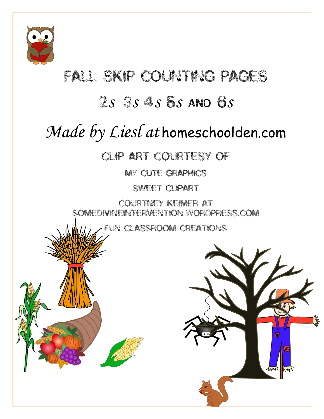

## FALL SKIP COUNTING PAGES

### <sup>2</sup>*s* <sup>3</sup>*s* <sup>4</sup>*s* <sup>5</sup>*s* AND <sup>6</sup>*s*

# *Made by Liesl at* homeschoolden.com

#### CLIP ART COURTESY OF

MY CUTE GRAPHICS

Sweet clipart

Courtney Keimer at somedivineintervention.wordpress.com

Fun Classroom Creations

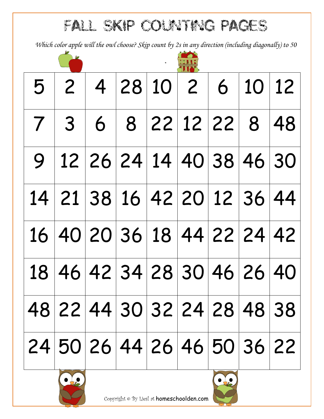FALL SKIP Counting PAGES

*Which color apple will the owl choose? Skip count by 2s in any direction (including diagonally) to 50* 

|  | 5   2   4   28   10   2   6   10   12       |  |  |                            |
|--|---------------------------------------------|--|--|----------------------------|
|  | 7 3 6 8 22 12 22 8 48                       |  |  |                            |
|  | $9   12   26   24   14   40   38   46   30$ |  |  |                            |
|  | 14 21 38 16 42 20 12 36 44                  |  |  |                            |
|  | 16 40 20 36 18 44 22 24 42                  |  |  |                            |
|  |                                             |  |  | 18 46 42 34 28 30 46 26 40 |
|  | 48 22 44 30 32 24 28 48 38                  |  |  |                            |
|  | 24 50 26 44 26 46 50 36 22                  |  |  |                            |

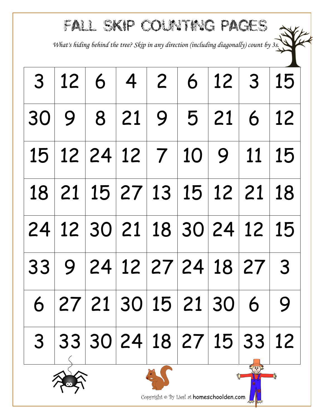### FALL SKIP Counting PAGES

*What's hiding behind the tree? Skip in any direction (including diagonally) count by 3s.*

|                |  |  | 3   12   6   4   2   6   12   3   15                                                             |                 |  |
|----------------|--|--|--------------------------------------------------------------------------------------------------|-----------------|--|
|                |  |  | 30   9   8   21   9   5   21   6   12                                                            |                 |  |
|                |  |  | 15   12   24   12   7   10   9   11   15                                                         |                 |  |
|                |  |  | 18   21   15   27   13   15   12   21   18                                                       |                 |  |
|                |  |  | $\mid$ 24 $\mid$ 12 $\mid$ 30 $\mid$ 21 $\mid$ 18 $\mid$ 30 $\mid$ 24 $\mid$ 12 $\mid$ 15 $\mid$ |                 |  |
|                |  |  | 33   9   24   12   27   24   18   27   3                                                         |                 |  |
|                |  |  | 6 27 21 30 15 21 30 6 9                                                                          |                 |  |
| 3 <sup>1</sup> |  |  | 33 30 24 18 27 15 33 12                                                                          | <b>CAN BASE</b> |  |





Copyright © By Liesl at homeschoolden.com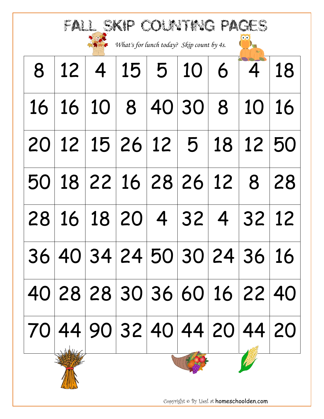| FALL SKIP COLATING PAGES<br>What's for lunch today? Skip count by 4s. |                            |             |          |  |                   |    |       |                                            |  |  |
|-----------------------------------------------------------------------|----------------------------|-------------|----------|--|-------------------|----|-------|--------------------------------------------|--|--|
| 8                                                                     |                            | $12 \mid 4$ |          |  | 15 5 10 6         |    | 4     | 18                                         |  |  |
| 16                                                                    |                            |             |          |  | 16 10 8 40 30     | 8  | 10    | 16                                         |  |  |
| 20                                                                    |                            |             |          |  | 12 15 26 12 5     | 18 | 12 50 |                                            |  |  |
| 50                                                                    |                            |             |          |  | 18 22 16 28 26 12 |    | 8     | 28                                         |  |  |
| 28                                                                    |                            |             | 16 18 20 |  | 4 32 4            |    | 32    | 12                                         |  |  |
|                                                                       |                            |             |          |  |                   |    |       | 36 40 34 24 50 30 24 36 16                 |  |  |
|                                                                       |                            |             |          |  |                   |    |       | 40 28 28 30 36 60 16 22 40                 |  |  |
|                                                                       |                            |             |          |  |                   |    |       | 70   44   90   32   40   44   20   44   20 |  |  |
|                                                                       | $\rightarrow$ the delighed |             |          |  |                   |    |       |                                            |  |  |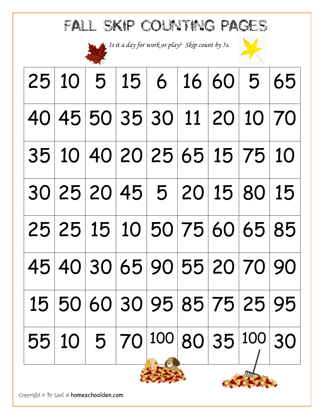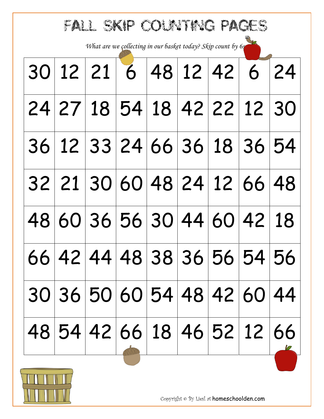| What are we collecting in our basket today? Skip count by 6s<br>12 21 6 48 12 42 6<br>30<br>24 27 18 54 18 42 22 12 30<br>36 12 33 24 66 36 18 36 54<br>32 21 30 60 48 24 12 66 48<br>60 36 56 30<br>44 60<br>42 18<br>48<br>66 42 44 48 38 36 56 54 56<br> 30 36 50 60 54 48 42 60 44 <br> 48 54 42 66 18 46 52 12 66 | FALL SKIP COUNTING PAGES |  |  |  |  |  |  |  |    |  |  |
|------------------------------------------------------------------------------------------------------------------------------------------------------------------------------------------------------------------------------------------------------------------------------------------------------------------------|--------------------------|--|--|--|--|--|--|--|----|--|--|
|                                                                                                                                                                                                                                                                                                                        |                          |  |  |  |  |  |  |  |    |  |  |
|                                                                                                                                                                                                                                                                                                                        |                          |  |  |  |  |  |  |  | 24 |  |  |
|                                                                                                                                                                                                                                                                                                                        |                          |  |  |  |  |  |  |  |    |  |  |
|                                                                                                                                                                                                                                                                                                                        |                          |  |  |  |  |  |  |  |    |  |  |
|                                                                                                                                                                                                                                                                                                                        |                          |  |  |  |  |  |  |  |    |  |  |
|                                                                                                                                                                                                                                                                                                                        |                          |  |  |  |  |  |  |  |    |  |  |
|                                                                                                                                                                                                                                                                                                                        |                          |  |  |  |  |  |  |  |    |  |  |
|                                                                                                                                                                                                                                                                                                                        |                          |  |  |  |  |  |  |  |    |  |  |
|                                                                                                                                                                                                                                                                                                                        |                          |  |  |  |  |  |  |  |    |  |  |

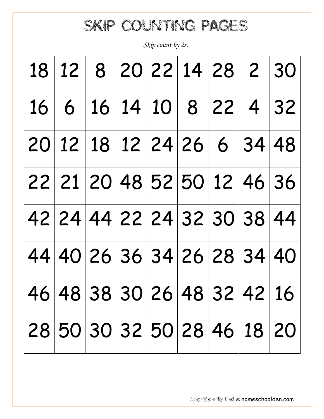### SKIP COUNTING PAGES

*Skip count by 2s.*

|                                                                                                  |  |  |  | 18   12   8   20   22   14   28   2   30   |
|--------------------------------------------------------------------------------------------------|--|--|--|--------------------------------------------|
| $\mid 16 \mid 6 \mid 16 \mid 14 \mid 10 \mid 8 \mid 22 \mid 4 \mid 32 \mid$                      |  |  |  |                                            |
| $\mid$ 20 $\mid$ 12 $\mid$ 18 $\mid$ 12 $\mid$ 24 $\mid$ 26 $\mid$ 6 $\mid$ 34 $\mid$ 48 $\mid$  |  |  |  |                                            |
| 22 21 20 48 52 50 12 46 36                                                                       |  |  |  |                                            |
|                                                                                                  |  |  |  | 42   24   44   22   24   32   30   38   44 |
| $\mid$ 44 $\mid$ 40 $\mid$ 26 $\mid$ 36 $\mid$ 34 $\mid$ 26 $\mid$ 28 $\mid$ 34 $\mid$ 40 $\mid$ |  |  |  |                                            |
| 46   48   38   30   26   48   32   42   16                                                       |  |  |  |                                            |
|                                                                                                  |  |  |  | 28 50 30 32 50 28 46 18 20                 |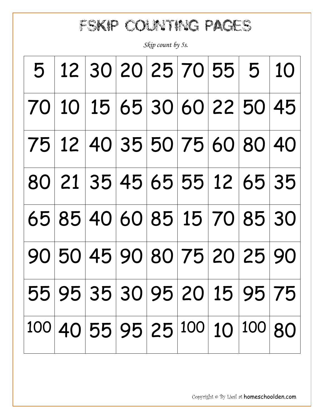FSKIP Counting PAGES

*Skip count by 5s.*

|  |  | 5   12   30   20   25   70   55   5   10 |        |  |
|--|--|------------------------------------------|--------|--|
|  |  | 70 10 15 65 30 60 22 50 45               |        |  |
|  |  | 75 12 40 35 50 75 60 80 40               |        |  |
|  |  | 80 21 35 45 65 55 12 65 35               |        |  |
|  |  | 65 85 40 60 85 15 70 85 30               |        |  |
|  |  | 90 50 45 90 80 75 20 25 90               |        |  |
|  |  | 55 95 35 30 95 20 15 95 75               |        |  |
|  |  | 100 40 55 95 25 100 10                   | 100 80 |  |